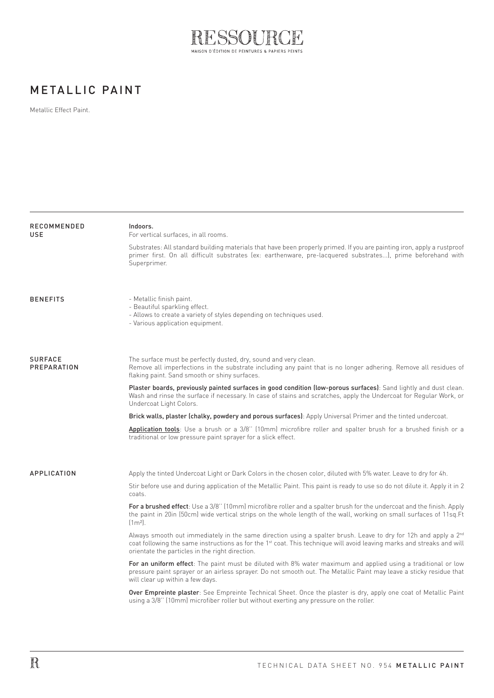

## METALLIC PAINT

Metallic Effect Paint.

| RECOMMENDED<br>USE            | Indoors.<br>For vertical surfaces, in all rooms.                                                                                                                                                                                                                                                                     |
|-------------------------------|----------------------------------------------------------------------------------------------------------------------------------------------------------------------------------------------------------------------------------------------------------------------------------------------------------------------|
|                               | Substrates: All standard building materials that have been properly primed. If you are painting iron, apply a rustproof<br>primer first. On all difficult substrates (ex: earthenware, pre-lacquered substrates), prime beforehand with<br>Superprimer.                                                              |
| <b>BENEFITS</b>               | - Metallic finish paint.<br>- Beautiful sparkling effect.<br>- Allows to create a variety of styles depending on techniques used.<br>- Various application equipment.                                                                                                                                                |
| <b>SURFACE</b><br>PREPARATION | The surface must be perfectly dusted, dry, sound and very clean.<br>Remove all imperfections in the substrate including any paint that is no longer adhering. Remove all residues of<br>flaking paint. Sand smooth or shiny surfaces.                                                                                |
|                               | Plaster boards, previously painted surfaces in good condition (low-porous surfaces): Sand lightly and dust clean.<br>Wash and rinse the surface if necessary. In case of stains and scratches, apply the Undercoat for Regular Work, or<br>Undercoat Light Colors.                                                   |
|                               | Brick walls, plaster (chalky, powdery and porous surfaces): Apply Universal Primer and the tinted undercoat.                                                                                                                                                                                                         |
|                               | Application tools: Use a brush or a 3/8" (10mm) microfibre roller and spalter brush for a brushed finish or a<br>traditional or low pressure paint sprayer for a slick effect.                                                                                                                                       |
| APPLICATION                   | Apply the tinted Undercoat Light or Dark Colors in the chosen color, diluted with 5% water. Leave to dry for 4h.                                                                                                                                                                                                     |
|                               | Stir before use and during application of the Metallic Paint. This paint is ready to use so do not dilute it. Apply it in 2<br>coats.                                                                                                                                                                                |
|                               | For a brushed effect: Use a 3/8" (10mm) microfibre roller and a spalter brush for the undercoat and the finish. Apply<br>the paint in 20in (50cm) wide vertical strips on the whole length of the wall, working on small surfaces of 11sq.Ft<br>$[1m2]$ .                                                            |
|                               | Always smooth out immediately in the same direction using a spalter brush. Leave to dry for 12h and apply a 2 <sup>nd</sup><br>coat following the same instructions as for the 1 <sup>st</sup> coat. This technique will avoid leaving marks and streaks and will<br>orientate the particles in the right direction. |
|                               | For an uniform effect: The paint must be diluted with 8% water maximum and applied using a traditional or low<br>pressure paint sprayer or an airless sprayer. Do not smooth out. The Metallic Paint may leave a sticky residue that<br>will clear up within a few days.                                             |
|                               | <b>Over Empreinte plaster</b> : See Empreinte Technical Sheet. Once the plaster is dry, apply one coat of Metallic Paint<br>using a 3/8" (10mm) microfiber roller but without exerting any pressure on the roller.                                                                                                   |